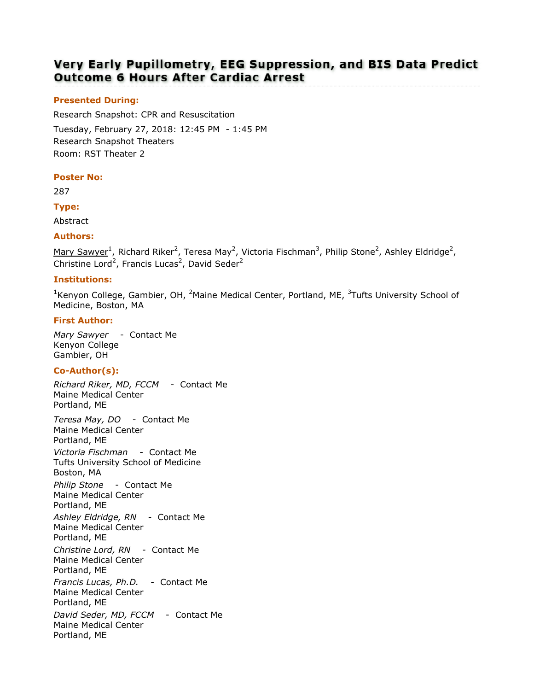# Very Early Pupillometry, EEG Suppression, and BIS Data Predict **Outcome 6 Hours After Cardiac Arrest**

# Presented During:

Research Snapshot: CPR and Resuscitation Tuesday, February 27, 2018: 12:45 PM - 1:45 PM Research Snapshot Theaters Room: RST Theater 2

### Poster No:

287

## Type:

Abstract

## Authors:

 $M$ ary Sawyer<sup>1</sup>, Richard Riker<sup>2</sup>, Teresa May<sup>2</sup>, Victoria Fischman<sup>3</sup>, Philip Stone<sup>2</sup>, Ashley Eldridge<sup>2</sup>, Christine Lord<sup>2</sup>, Francis Lucas<sup>2</sup>, David Seder<sup>2</sup>

# Institutions:

<sup>1</sup>Kenyon College, Gambier, OH, <sup>2</sup>Maine Medical Center, Portland, ME,  $3$ Tufts University School of Medicine, Boston, MA

## First Author:

Mary Sawyer - Contact Me Kenyon College Gambier, OH

# Co-Author(s):

Richard Riker, MD, FCCM - Contact Me Maine Medical Center Portland, ME Teresa May, DO - Contact Me Maine Medical Center Portland, ME Victoria Fischman - Contact Me Tufts University School of Medicine Boston, MA Philip Stone - Contact Me Maine Medical Center Portland, ME Ashley Eldridge, RN - Contact Me Maine Medical Center Portland, ME Christine Lord, RN - Contact Me Maine Medical Center Portland, ME Francis Lucas, Ph.D. - Contact Me Maine Medical Center Portland, ME David Seder, MD, FCCM - Contact Me Maine Medical Center Portland, ME